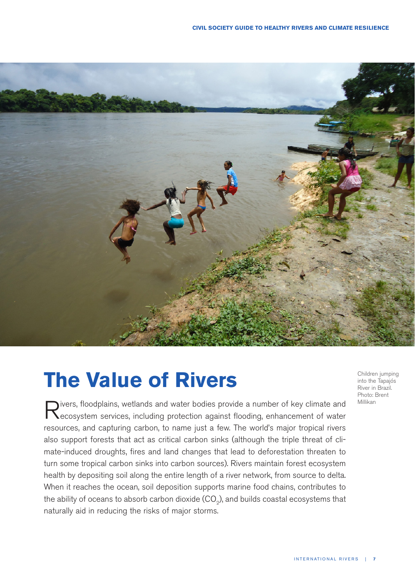

# **The Value of Rivers**

Rivers, floodplains, wetlands and water bodies provide a number of key climate and ecosystem services, including protection against flooding, enhancement of water resources, and capturing carbon, to name just a few. The world's major tropical rivers also support forests that act as critical carbon sinks (although the triple threat of climate-induced droughts, fires and land changes that lead to deforestation threaten to turn some tropical carbon sinks into carbon sources). Rivers maintain forest ecosystem health by depositing soil along the entire length of a river network, from source to delta. When it reaches the ocean, soil deposition supports marine food chains, contributes to the ability of oceans to absorb carbon dioxide  $(CO<sub>o</sub>)$ , and builds coastal ecosystems that naturally aid in reducing the risks of major storms.

Children jumping into the Tapajós River in Brazil. Photo: Brent Millikan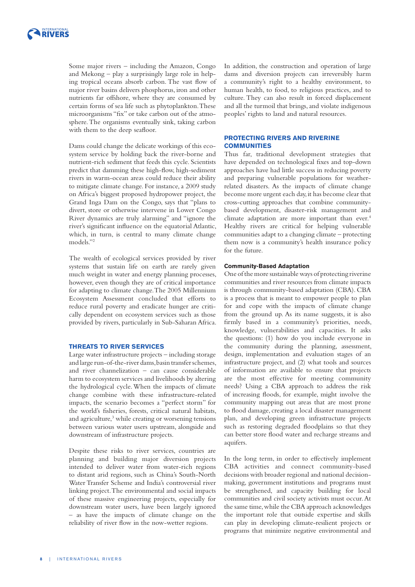

Some major rivers – including the Amazon, Congo and Mekong – play a surprisingly large role in helping tropical oceans absorb carbon. The vast flow of major river basins delivers phosphorus, iron and other nutrients far offshore, where they are consumed by certain forms of sea life such as phytoplankton. These microorganisms "fix" or take carbon out of the atmosphere. The organisms eventually sink, taking carbon with them to the deep seafloor.

Dams could change the delicate workings of this ecosystem service by holding back the river-borne and nutrient-rich sediment that feeds this cycle. Scientists predict that damming these high-flow, high-sediment rivers in warm-ocean areas could reduce their ability to mitigate climate change. For instance, a 2009 study on Africa's biggest proposed hydropower project, the Grand Inga Dam on the Congo, says that "plans to divert, store or otherwise intervene in Lower Congo River dynamics are truly alarming" and "ignore the river's significant influence on the equatorial Atlantic, which, in turn, is central to many climate change models."2

The wealth of ecological services provided by river systems that sustain life on earth are rarely given much weight in water and energy planning processes, however, even though they are of critical importance for adapting to climate change. The 2005 Millennium Ecosystem Assessment concluded that efforts to reduce rural poverty and eradicate hunger are critically dependent on ecosystem services such as those provided by rivers, particularly in Sub-Saharan Africa.

#### **THREATS TO RIVER SERVICES**

Large water infrastructure projects – including storage and large run-of-the-river dams, basin transfer schemes, and river channelization – can cause considerable harm to ecosystem services and livelihoods by altering the hydrological cycle. When the impacts of climate change combine with these infrastructure-related impacts, the scenario becomes a "perfect storm" for the world's fisheries, forests, critical natural habitats, and agriculture,<sup>3</sup> while creating or worsening tensions between various water users upstream, alongside and downstream of infrastructure projects.

Despite these risks to river services, countries are planning and building major diversion projects intended to deliver water from water-rich regions to distant arid regions, such as China's South-North Water Transfer Scheme and India's controversial river linking project. The environmental and social impacts of these massive engineering projects, especially for downstream water users, have been largely ignored – as have the impacts of climate change on the reliability of river flow in the now-wetter regions.

In addition, the construction and operation of large dams and diversion projects can irreversibly harm a community's right to a healthy environment, to human health, to food, to religious practices, and to culture. They can also result in forced displacement and all the turmoil that brings, and violate indigenous peoples' rights to land and natural resources.

#### **PROTECTING RIVERS AND RIVERINE COMMUNITIES**

Thus far, traditional development strategies that have depended on technological fixes and top-down approaches have had little success in reducing poverty and preparing vulnerable populations for weatherrelated disasters. As the impacts of climate change become more urgent each day, it has become clear that cross-cutting approaches that combine communitybased development, disaster-risk management and climate adaptation are more important than ever.<sup>4</sup> Healthy rivers are critical for helping vulnerable communities adapt to a changing climate – protecting them now is a community's health insurance policy for the future.

#### **Community-Based Adaptation**

One of the more sustainable ways of protecting riverine communities and river resources from climate impacts is through community-based adaptation (CBA). CBA is a process that is meant to empower people to plan for and cope with the impacts of climate change from the ground up. As its name suggests, it is also firmly based in a community's priorities, needs, knowledge, vulnerabilities and capacities. It asks the questions: (1) how do you include everyone in the community during the planning, assessment, design, implementation and evaluation stages of an infrastructure project, and (2) what tools and sources of information are available to ensure that projects are the most effective for meeting community needs? Using a CBA approach to address the risk of increasing floods, for example, might involve the community mapping out areas that are most prone to flood damage, creating a local disaster management plan, and developing green infrastructure projects such as restoring degraded floodplains so that they can better store flood water and recharge streams and aquifers.

In the long term, in order to effectively implement CBA activities and connect community-based decisions with broader regional and national decisionmaking, government institutions and programs must be strengthened, and capacity building for local communities and civil society activists must occur. At the same time, while the CBA approach acknowledges the important role that outside expertise and skills can play in developing climate-resilient projects or programs that minimize negative environmental and